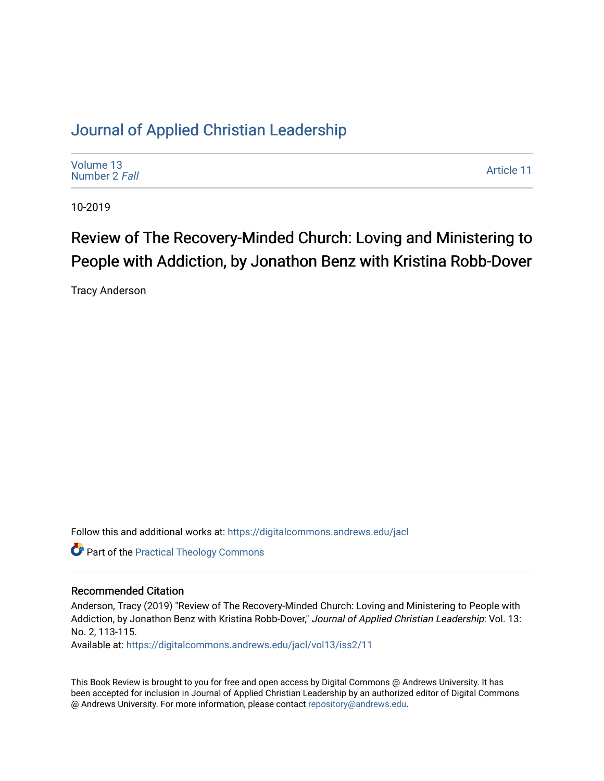## [Journal of Applied Christian Leadership](https://digitalcommons.andrews.edu/jacl)

| Volume 13<br>Number 2 Fall | Article 11 |
|----------------------------|------------|
|----------------------------|------------|

10-2019

# Review of The Recovery-Minded Church: Loving and Ministering to People with Addiction, by Jonathon Benz with Kristina Robb-Dover

Tracy Anderson

Follow this and additional works at: [https://digitalcommons.andrews.edu/jacl](https://digitalcommons.andrews.edu/jacl?utm_source=digitalcommons.andrews.edu%2Fjacl%2Fvol13%2Fiss2%2F11&utm_medium=PDF&utm_campaign=PDFCoverPages) 

**Part of the [Practical Theology Commons](http://network.bepress.com/hgg/discipline/1186?utm_source=digitalcommons.andrews.edu%2Fjacl%2Fvol13%2Fiss2%2F11&utm_medium=PDF&utm_campaign=PDFCoverPages)** 

### Recommended Citation

Anderson, Tracy (2019) "Review of The Recovery-Minded Church: Loving and Ministering to People with Addiction, by Jonathon Benz with Kristina Robb-Dover," Journal of Applied Christian Leadership: Vol. 13: No. 2, 113-115.

Available at: [https://digitalcommons.andrews.edu/jacl/vol13/iss2/11](https://digitalcommons.andrews.edu/jacl/vol13/iss2/11?utm_source=digitalcommons.andrews.edu%2Fjacl%2Fvol13%2Fiss2%2F11&utm_medium=PDF&utm_campaign=PDFCoverPages) 

This Book Review is brought to you for free and open access by Digital Commons @ Andrews University. It has been accepted for inclusion in Journal of Applied Christian Leadership by an authorized editor of Digital Commons @ Andrews University. For more information, please contact [repository@andrews.edu](mailto:repository@andrews.edu).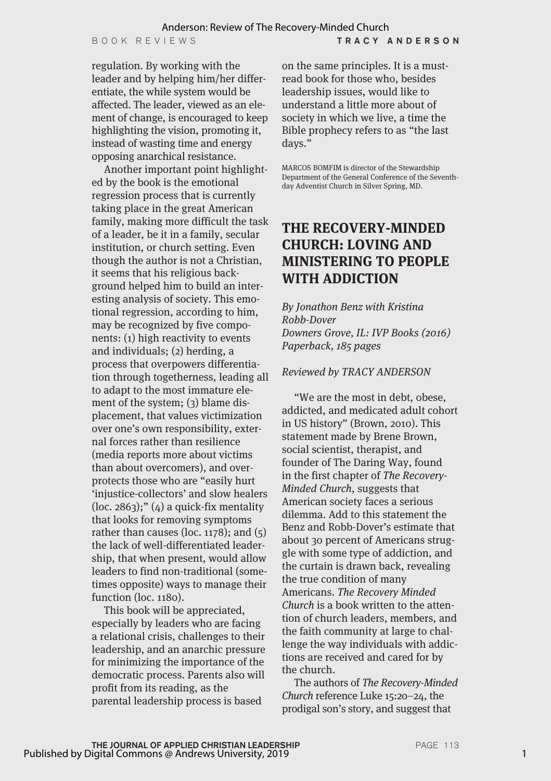regulation. By working with the leader and by helping him/her differentiate, the while system would be affected. The leader, viewed as an element of change, is encouraged to keep highlighting the vision, promoting it, instead of wasting time and energy opposing anarchical resistance.

Another important point highlighted by the book is the emotional regression process that is currently taking place in the great American family, making more difficult the task of a leader, be it in a family, secular institution, or church setting. Even though the author is not a Christian, it seems that his religious background helped him to build an interesting analysis of society. This emotional regression, according to him, may be recognized by five components: (1) high reactivity to events and individuals; (2) herding, a process that overpowers differentiation through togetherness, leading all to adapt to the most immature element of the system; (3) blame displacement, that values victimization over one's own responsibility, external forces rather than resilience (media reports more about victims than about overcomers), and overprotects those who are "easily hurt 'injustice-collectors' and slow healers  $(loc. 2863);''(4)$  a quick-fix mentality that looks for removing symptoms rather than causes (loc.  $1178$ ); and  $(5)$ the lack of well-differentiated leadership, that when present, would allow leaders to find non-traditional (sometimes opposite) ways to manage their function (loc. 1180).

This book will be appreciated, especially by leaders who are facing a relational crisis, challenges to their leadership, and an anarchic pressure for minimizing the importance of the democratic process. Parents also will profit from its reading, as the parental leadership process is based

on the same principles. It is a mustread book for those who, besides leadership issues, would like to understand a little more about of society in which we live, a time the Bible prophecy refers to as "the last days."

MARCOS BOMFIM is director of the Stewardship Department of the General Conference of the Seventhday Adventist Church in Silver Spring, MD.

### **THE RECOVERY-MINDED CHURCH: LOVING AND MINISTERING TO PEOPLE WITH ADDICTION**

*By Jonathon Benz with Kristina Robb-Dover Downers Grove, IL: IVP Books (2016) Paperback, 185 pages*

#### *Reviewed by TRACY ANDERSON*

"We are the most in debt, obese, addicted, and medicated adult cohort in US history" (Brown, 2010). This statement made by Brene Brown, social scientist, therapist, and founder of The Daring Way, found in the first chapter of *The Recovery-Minded Church*, suggests that American society faces a serious dilemma. Add to this statement the Benz and Robb-Dover's estimate that about 30 percent of Americans struggle with some type of addiction, and the curtain is drawn back, revealing the true condition of many Americans. *The Recovery Minded Church* is a book written to the attention of church leaders, members, and the faith community at large to challenge the way individuals with addictions are received and cared for by the church.

The authors of *The Recovery-Minded Church* reference Luke 15:20–24, the prodigal son's story, and suggest that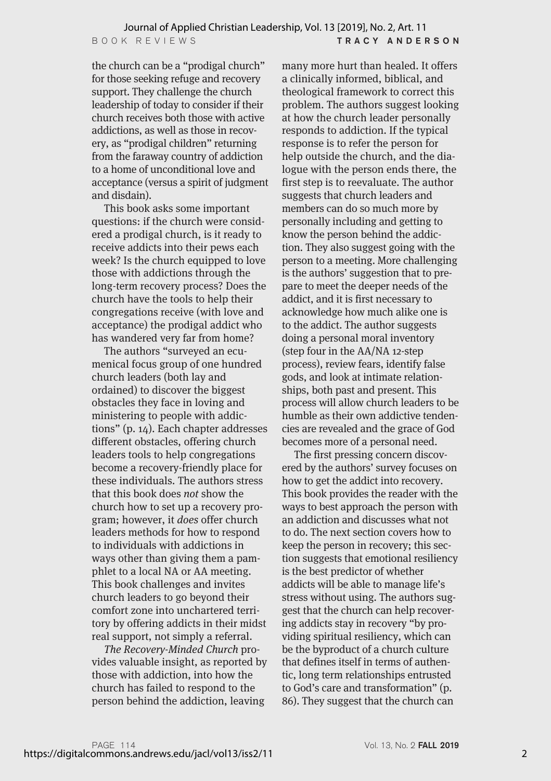the church can be a "prodigal church" for those seeking refuge and recovery support. They challenge the church leadership of today to consider if their church receives both those with active addictions, as well as those in recovery, as "prodigal children" returning from the faraway country of addiction to a home of unconditional love and acceptance (versus a spirit of judgment and disdain).

This book asks some important questions: if the church were considered a prodigal church, is it ready to receive addicts into their pews each week? Is the church equipped to love those with addictions through the long-term recovery process? Does the church have the tools to help their congregations receive (with love and acceptance) the prodigal addict who has wandered very far from home?

The authors "surveyed an ecumenical focus group of one hundred church leaders (both lay and ordained) to discover the biggest obstacles they face in loving and ministering to people with addictions" (p. 14). Each chapter addresses different obstacles, offering church leaders tools to help congregations become a recovery-friendly place for these individuals. The authors stress that this book does *not* show the church how to set up a recovery program; however, it *does* offer church leaders methods for how to respond to individuals with addictions in ways other than giving them a pamphlet to a local NA or AA meeting. This book challenges and invites church leaders to go beyond their comfort zone into unchartered territory by offering addicts in their midst real support, not simply a referral.

*The Recovery-Minded Church* provides valuable insight, as reported by those with addiction, into how the church has failed to respond to the person behind the addiction, leaving

many more hurt than healed. It offers a clinically informed, biblical, and theological framework to correct this problem. The authors suggest looking at how the church leader personally responds to addiction. If the typical response is to refer the person for help outside the church, and the dialogue with the person ends there, the first step is to reevaluate. The author suggests that church leaders and members can do so much more by personally including and getting to know the person behind the addiction. They also suggest going with the person to a meeting. More challenging is the authors' suggestion that to prepare to meet the deeper needs of the addict, and it is first necessary to acknowledge how much alike one is to the addict. The author suggests doing a personal moral inventory (step four in the AA/NA 12-step process), review fears, identify false gods, and look at intimate relationships, both past and present. This process will allow church leaders to be humble as their own addictive tendencies are revealed and the grace of God becomes more of a personal need.

The first pressing concern discovered by the authors' survey focuses on how to get the addict into recovery. This book provides the reader with the ways to best approach the person with an addiction and discusses what not to do. The next section covers how to keep the person in recovery; this section suggests that emotional resiliency is the best predictor of whether addicts will be able to manage life's stress without using. The authors suggest that the church can help recovering addicts stay in recovery "by providing spiritual resiliency, which can be the byproduct of a church culture that defines itself in terms of authentic, long term relationships entrusted to God's care and transformation" (p. 86). They suggest that the church can